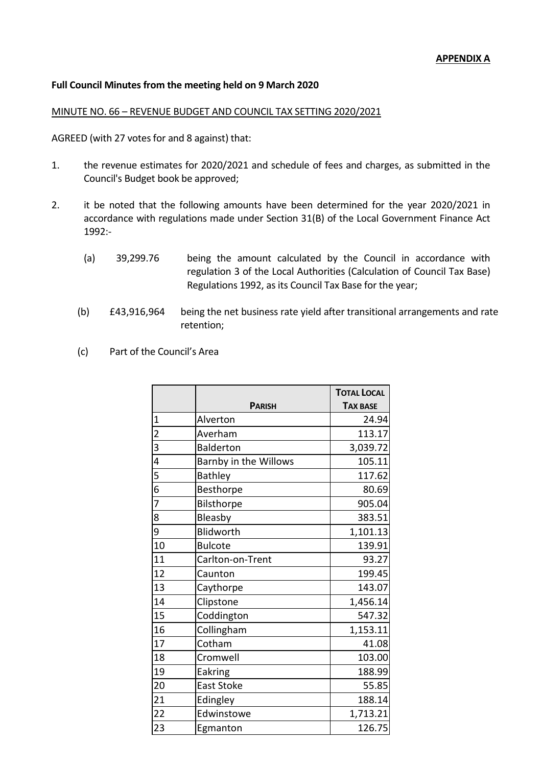# **Full Council Minutes from the meeting held on 9 March 2020**

### MINUTE NO. 66 – REVENUE BUDGET AND COUNCIL TAX SETTING 2020/2021

AGREED (with 27 votes for and 8 against) that:

- 1. the revenue estimates for 2020/2021 and schedule of fees and charges, as submitted in the Council's Budget book be approved;
- 2. it be noted that the following amounts have been determined for the year 2020/2021 in accordance with regulations made under Section 31(B) of the Local Government Finance Act 1992:-
	- (a) 39,299.76 being the amount calculated by the Council in accordance with regulation 3 of the Local Authorities (Calculation of Council Tax Base) Regulations 1992, as its Council Tax Base for the year;
	- (b) £43,916,964 being the net business rate yield after transitional arrangements and rate retention;
	- (c) Part of the Council's Area

|                         |                       | <b>TOTAL LOCAL</b> |
|-------------------------|-----------------------|--------------------|
|                         | <b>PARISH</b>         | <b>TAX BASE</b>    |
| $\overline{1}$          | Alverton              | 24.94              |
| $\overline{\mathbf{c}}$ | Averham               | 113.17             |
| 3                       | <b>Balderton</b>      | 3,039.72           |
| $\overline{4}$          | Barnby in the Willows | 105.11             |
| 5                       | <b>Bathley</b>        | 117.62             |
| $\overline{6}$          | Besthorpe             | 80.69              |
| 7                       | <b>Bilsthorpe</b>     | 905.04             |
| 8                       | Bleasby               | 383.51             |
| 9                       | Blidworth             | 1,101.13           |
| 10                      | <b>Bulcote</b>        | 139.91             |
| 11                      | Carlton-on-Trent      | 93.27              |
| 12                      | Caunton               | 199.45             |
| 13                      | Caythorpe             | 143.07             |
| 14                      | Clipstone             | 1,456.14           |
| 15                      | Coddington            | 547.32             |
| 16                      | Collingham            | 1,153.11           |
| 17                      | Cotham                | 41.08              |
| 18                      | Cromwell              | 103.00             |
| 19                      | Eakring               | 188.99             |
| 20                      | <b>East Stoke</b>     | 55.85              |
| 21                      | Edingley              | 188.14             |
| 22                      | Edwinstowe            | 1,713.21           |
| 23                      | Egmanton              | 126.75             |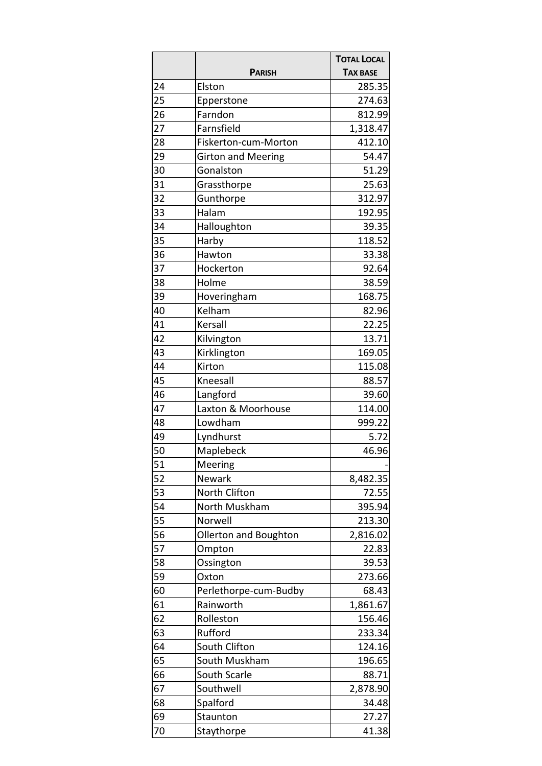|    |                           | <b>TOTAL LOCAL</b> |
|----|---------------------------|--------------------|
|    | <b>PARISH</b>             | <b>TAX BASE</b>    |
| 24 | Elston                    | 285.35             |
| 25 | Epperstone                | 274.63             |
| 26 | Farndon                   | 812.99             |
| 27 | Farnsfield                | 1,318.47           |
| 28 | Fiskerton-cum-Morton      | 412.10             |
| 29 | <b>Girton and Meering</b> | 54.47              |
| 30 | Gonalston                 | 51.29              |
| 31 | Grassthorpe               | 25.63              |
| 32 | Gunthorpe                 | 312.97             |
| 33 | Halam                     | 192.95             |
| 34 | Halloughton               | 39.35              |
| 35 | Harby                     | 118.52             |
| 36 | Hawton                    | 33.38              |
| 37 | Hockerton                 | 92.64              |
| 38 | Holme                     | 38.59              |
| 39 | Hoveringham               | 168.75             |
| 40 | Kelham                    | 82.96              |
| 41 | Kersall                   | 22.25              |
| 42 | Kilvington                | 13.71              |
| 43 | Kirklington               | 169.05             |
| 44 | Kirton                    | 115.08             |
| 45 | Kneesall                  | 88.57              |
| 46 | Langford                  | 39.60              |
| 47 | Laxton & Moorhouse        | 114.00             |
| 48 | Lowdham                   | 999.22             |
| 49 | Lyndhurst                 | 5.72               |
| 50 | Maplebeck                 | 46.96              |
| 51 | Meering                   |                    |
| 52 | Newark                    | 8,482.35           |
| 53 | North Clifton             | 72.55              |
| 54 | North Muskham             | 395.94             |
| 55 | Norwell                   | 213.30             |
| 56 | Ollerton and Boughton     | 2,816.02           |
| 57 | Ompton                    | 22.83              |
| 58 | Ossington                 | 39.53              |
| 59 | Oxton                     | 273.66             |
| 60 | Perlethorpe-cum-Budby     | 68.43              |
| 61 | Rainworth                 | 1,861.67           |
| 62 | Rolleston                 | 156.46             |
| 63 | Rufford                   | 233.34             |
| 64 | South Clifton             | 124.16             |
| 65 | South Muskham             | 196.65             |
| 66 | South Scarle              | 88.71              |
| 67 | Southwell                 | 2,878.90           |
| 68 | Spalford                  | 34.48              |
| 69 | Staunton                  | 27.27              |
| 70 | Staythorpe                | 41.38              |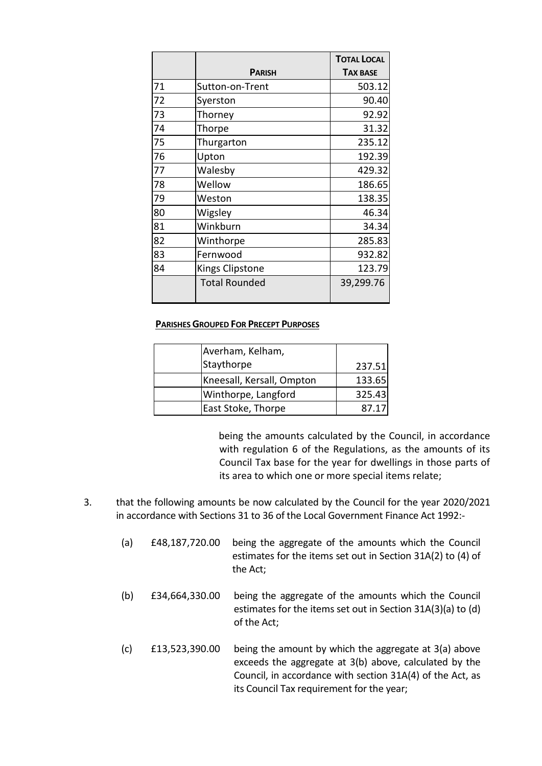|    |                      | <b>TOTAL LOCAL</b> |
|----|----------------------|--------------------|
|    | <b>PARISH</b>        | <b>TAX BASE</b>    |
| 71 | Sutton-on-Trent      | 503.12             |
| 72 | Syerston             | 90.40              |
| 73 | Thorney              | 92.92              |
| 74 | Thorpe               | 31.32              |
| 75 | Thurgarton           | 235.12             |
| 76 | Upton                | 192.39             |
| 77 | Walesby              | 429.32             |
| 78 | Wellow               | 186.65             |
| 79 | Weston               | 138.35             |
| 80 | Wigsley              | 46.34              |
| 81 | Winkburn             | 34.34              |
| 82 | Winthorpe            | 285.83             |
| 83 | Fernwood             | 932.82             |
| 84 | Kings Clipstone      | 123.79             |
|    | <b>Total Rounded</b> | 39,299.76          |

#### **PARISHES GROUPED FOR PRECEPT PURPOSES**

| Averham, Kelham,          |        |
|---------------------------|--------|
| Staythorpe                | 237.51 |
| Kneesall, Kersall, Ompton | 133.65 |
| Winthorpe, Langford       | 325.43 |
| East Stoke, Thorpe        | 87.17  |

being the amounts calculated by the Council, in accordance with regulation 6 of the Regulations, as the amounts of its Council Tax base for the year for dwellings in those parts of its area to which one or more special items relate;

- 3. that the following amounts be now calculated by the Council for the year 2020/2021 in accordance with Sections 31 to 36 of the Local Government Finance Act 1992:-
	- (a) £48,187,720.00 being the aggregate of the amounts which the Council estimates for the items set out in Section 31A(2) to (4) of the Act;
	- (b) £34,664,330.00 being the aggregate of the amounts which the Council estimates for the items set out in Section 31A(3)(a) to (d) of the Act;
	- (c) £13,523,390.00 being the amount by which the aggregate at 3(a) above exceeds the aggregate at 3(b) above, calculated by the Council, in accordance with section 31A(4) of the Act, as its Council Tax requirement for the year;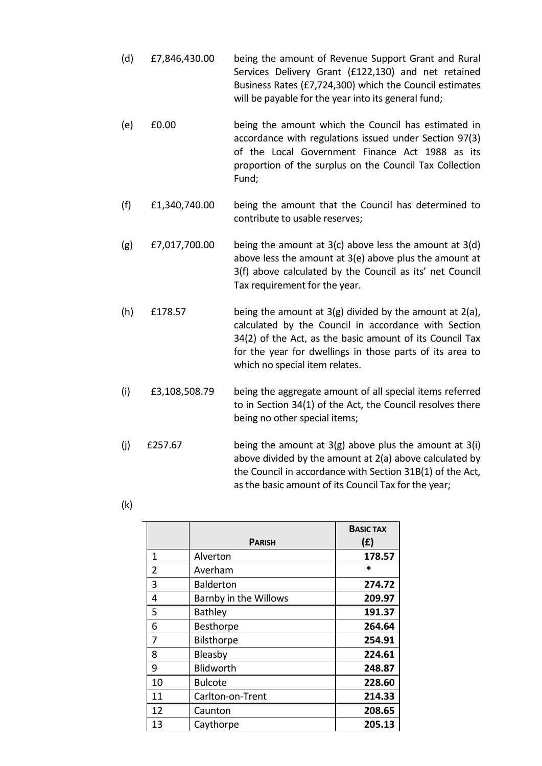- (d) £7,846,430.00 being the amount of Revenue Support Grant and Rural Services Delivery Grant (£122,130) and net retained Business Rates (£7,724,300) which the Council estimates will be payable for the year into its general fund;
- (e) £0.00 being the amount which the Council has estimated in accordance with regulations issued under Section 97(3) of the Local Government Finance Act 1988 as its proportion of the surplus on the Council Tax Collection Fund;
- (f) £1,340,740.00 being the amount that the Council has determined to contribute to usable reserves;
- (g)  $f(7,017,700.00$  being the amount at 3(c) above less the amount at 3(d) above less the amount at 3(e) above plus the amount at 3(f) above calculated by the Council as its' net Council Tax requirement for the year.
- (h)  $£178.57$  being the amount at 3(g) divided by the amount at 2(a), calculated by the Council in accordance with Section 34(2) of the Act, as the basic amount of its Council Tax for the year for dwellings in those parts of its area to which no special item relates.
- (i) £3,108,508.79 being the aggregate amount of all special items referred to in Section 34(1) of the Act, the Council resolves there being no other special items;
- (j)  $\epsilon$ 257.67 being the amount at 3(g) above plus the amount at 3(i) above divided by the amount at 2(a) above calculated by the Council in accordance with Section 31B(1) of the Act, as the basic amount of its Council Tax for the year;
	- **PARISH BASIC TAX (£)** 1 Alverton **178.57** 2 Averham \* 3 Balderton **274.72**  4 Barnby in the Willows **209.97**  5 Bathley **191.37**  6 Besthorpe **264.64**  7 Bilsthorpe **254.91**  8 Bleasby **224.61**  9 Blidworth **248.87**  10 Bulcote **228.60**  11 Carlton-on-Trent **214.33**  12 Caunton **208.65**  13 Caythorpe **205.13**

|  | I<br>I |
|--|--------|
|--|--------|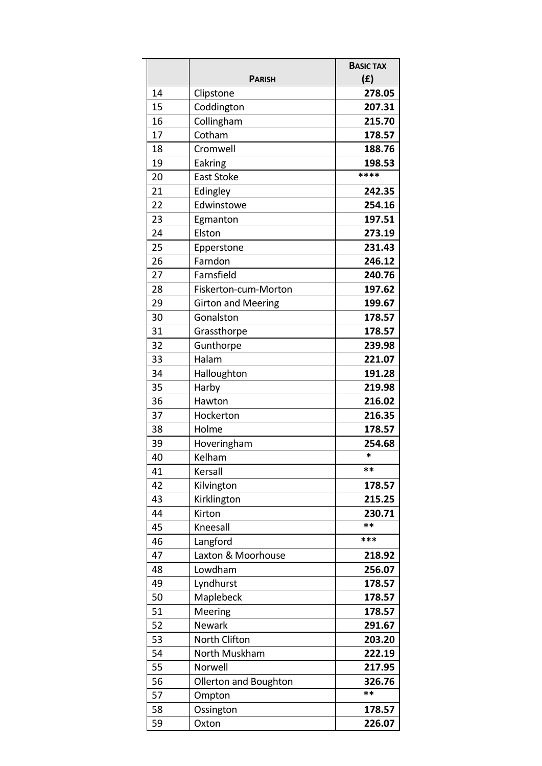|    | <b>PARISH</b>             | <b>BASIC TAX</b><br>(f) |
|----|---------------------------|-------------------------|
| 14 | Clipstone                 | 278.05                  |
| 15 | Coddington                | 207.31                  |
| 16 | Collingham                | 215.70                  |
| 17 | Cotham                    | 178.57                  |
| 18 | Cromwell                  | 188.76                  |
| 19 | Eakring                   | 198.53                  |
| 20 | <b>East Stoke</b>         | ****                    |
| 21 | Edingley                  | 242.35                  |
| 22 | Edwinstowe                | 254.16                  |
| 23 | Egmanton                  | 197.51                  |
| 24 | Elston                    | 273.19                  |
| 25 | Epperstone                | 231.43                  |
| 26 | Farndon                   | 246.12                  |
| 27 | Farnsfield                | 240.76                  |
| 28 | Fiskerton-cum-Morton      | 197.62                  |
| 29 | <b>Girton and Meering</b> | 199.67                  |
| 30 | Gonalston                 | 178.57                  |
| 31 | Grassthorpe               | 178.57                  |
| 32 | Gunthorpe                 | 239.98                  |
| 33 | Halam                     | 221.07                  |
| 34 | Halloughton               | 191.28                  |
| 35 | Harby                     | 219.98                  |
| 36 | Hawton                    | 216.02                  |
| 37 | Hockerton                 | 216.35                  |
| 38 | Holme                     | 178.57                  |
| 39 | Hoveringham               | 254.68                  |
| 40 | Kelham                    | *                       |
| 41 | Kersall                   | **                      |
| 42 | Kilvington                | 178.57                  |
| 43 | Kirklington               | 215.25                  |
| 44 | Kirton                    | 230.71                  |
| 45 | Kneesall                  | **                      |
| 46 | Langford                  | ***                     |
| 47 | Laxton & Moorhouse        | 218.92                  |
| 48 | Lowdham                   | 256.07                  |
| 49 | Lyndhurst                 | 178.57                  |
| 50 | Maplebeck                 | 178.57                  |
| 51 | Meering                   | 178.57                  |
| 52 | Newark                    | 291.67                  |
| 53 | North Clifton             | 203.20                  |
| 54 | North Muskham             | 222.19                  |
| 55 | Norwell                   | 217.95                  |
| 56 | Ollerton and Boughton     | 326.76                  |
| 57 | Ompton                    | **                      |
| 58 | Ossington                 | 178.57                  |
| 59 | Oxton                     | 226.07                  |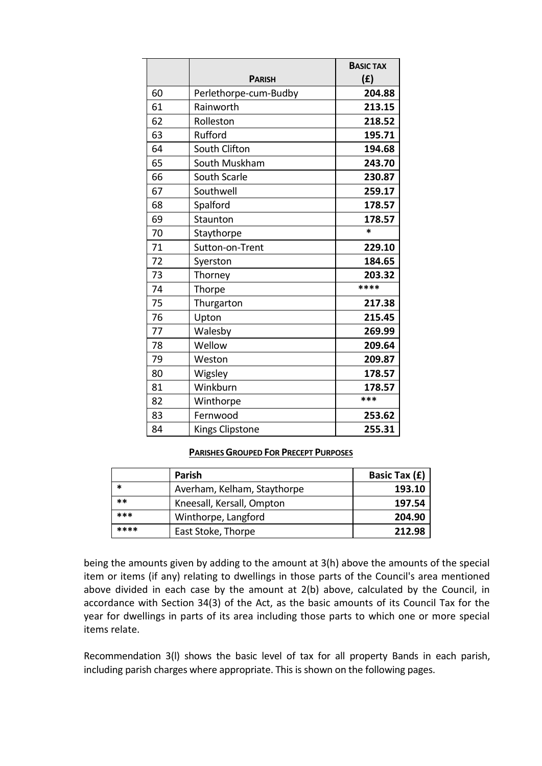|    |                       | <b>BASIC TAX</b> |
|----|-----------------------|------------------|
|    | <b>PARISH</b>         | (E)              |
| 60 | Perlethorpe-cum-Budby | 204.88           |
| 61 | Rainworth             | 213.15           |
| 62 | Rolleston             | 218.52           |
| 63 | Rufford               | 195.71           |
| 64 | South Clifton         | 194.68           |
| 65 | South Muskham         | 243.70           |
| 66 | South Scarle          | 230.87           |
| 67 | Southwell             | 259.17           |
| 68 | Spalford              | 178.57           |
| 69 | Staunton              | 178.57           |
| 70 | Staythorpe            | $\ast$           |
| 71 | Sutton-on-Trent       | 229.10           |
| 72 | Syerston              | 184.65           |
| 73 | Thorney               | 203.32           |
| 74 | Thorpe                | ****             |
| 75 | Thurgarton            | 217.38           |
| 76 | Upton                 | 215.45           |
| 77 | Walesby               | 269.99           |
| 78 | Wellow                | 209.64           |
| 79 | Weston                | 209.87           |
| 80 | Wigsley               | 178.57           |
| 81 | Winkburn              | 178.57           |
| 82 | Winthorpe             | ***              |
| 83 | Fernwood              | 253.62           |
| 84 | Kings Clipstone       | 255.31           |

## **PARISHES GROUPED FOR PRECEPT PURPOSES**

|       | <b>Parish</b>               | Basic Tax (£) |
|-------|-----------------------------|---------------|
| *     | Averham, Kelham, Staythorpe | 193.10        |
| $***$ | Kneesall, Kersall, Ompton   | 197.54        |
| ***   | Winthorpe, Langford         | 204.90        |
| ****  | East Stoke, Thorpe          | 212.98        |

being the amounts given by adding to the amount at 3(h) above the amounts of the special item or items (if any) relating to dwellings in those parts of the Council's area mentioned above divided in each case by the amount at 2(b) above, calculated by the Council, in accordance with Section 34(3) of the Act, as the basic amounts of its Council Tax for the year for dwellings in parts of its area including those parts to which one or more special items relate.

Recommendation 3(l) shows the basic level of tax for all property Bands in each parish, including parish charges where appropriate. This is shown on the following pages.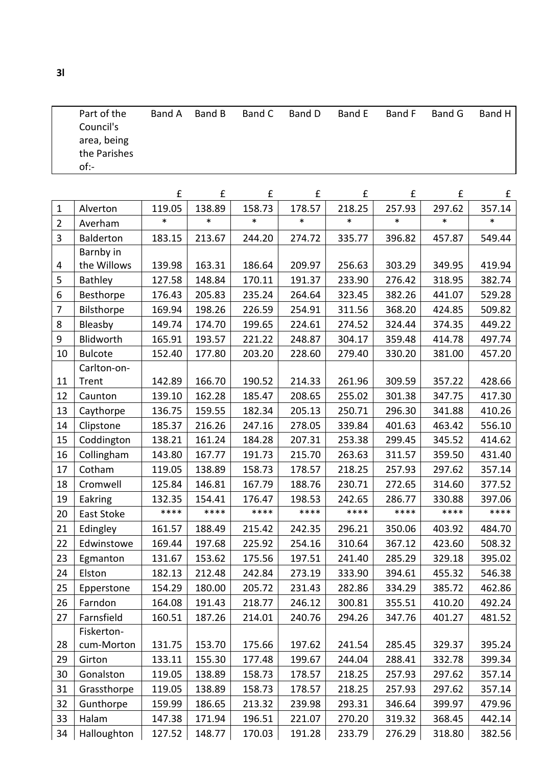|                |                | £      | £      | £      | £      | £      | £      | £      | £      |
|----------------|----------------|--------|--------|--------|--------|--------|--------|--------|--------|
| $\mathbf{1}$   | Alverton       | 119.05 | 138.89 | 158.73 | 178.57 | 218.25 | 257.93 | 297.62 | 357.14 |
| $\overline{2}$ | Averham        | *      | $\ast$ | $\ast$ | *      | $\ast$ | $\ast$ | $\ast$ | *      |
| 3              | Balderton      | 183.15 | 213.67 | 244.20 | 274.72 | 335.77 | 396.82 | 457.87 | 549.44 |
|                | Barnby in      |        |        |        |        |        |        |        |        |
| 4              | the Willows    | 139.98 | 163.31 | 186.64 | 209.97 | 256.63 | 303.29 | 349.95 | 419.94 |
| 5              | Bathley        | 127.58 | 148.84 | 170.11 | 191.37 | 233.90 | 276.42 | 318.95 | 382.74 |
| 6              | Besthorpe      | 176.43 | 205.83 | 235.24 | 264.64 | 323.45 | 382.26 | 441.07 | 529.28 |
| $\overline{7}$ | Bilsthorpe     | 169.94 | 198.26 | 226.59 | 254.91 | 311.56 | 368.20 | 424.85 | 509.82 |
| 8              | Bleasby        | 149.74 | 174.70 | 199.65 | 224.61 | 274.52 | 324.44 | 374.35 | 449.22 |
| 9              | Blidworth      | 165.91 | 193.57 | 221.22 | 248.87 | 304.17 | 359.48 | 414.78 | 497.74 |
| 10             | <b>Bulcote</b> | 152.40 | 177.80 | 203.20 | 228.60 | 279.40 | 330.20 | 381.00 | 457.20 |
|                | Carlton-on-    |        |        |        |        |        |        |        |        |
| 11             | Trent          | 142.89 | 166.70 | 190.52 | 214.33 | 261.96 | 309.59 | 357.22 | 428.66 |
| 12             | Caunton        | 139.10 | 162.28 | 185.47 | 208.65 | 255.02 | 301.38 | 347.75 | 417.30 |
| 13             | Caythorpe      | 136.75 | 159.55 | 182.34 | 205.13 | 250.71 | 296.30 | 341.88 | 410.26 |
| 14             | Clipstone      | 185.37 | 216.26 | 247.16 | 278.05 | 339.84 | 401.63 | 463.42 | 556.10 |
| 15             | Coddington     | 138.21 | 161.24 | 184.28 | 207.31 | 253.38 | 299.45 | 345.52 | 414.62 |
| 16             | Collingham     | 143.80 | 167.77 | 191.73 | 215.70 | 263.63 | 311.57 | 359.50 | 431.40 |
| 17             | Cotham         | 119.05 | 138.89 | 158.73 | 178.57 | 218.25 | 257.93 | 297.62 | 357.14 |
| 18             | Cromwell       | 125.84 | 146.81 | 167.79 | 188.76 | 230.71 | 272.65 | 314.60 | 377.52 |
| 19             | Eakring        | 132.35 | 154.41 | 176.47 | 198.53 | 242.65 | 286.77 | 330.88 | 397.06 |
| 20             | East Stoke     | ****   | ****   | ****   | ****   | ****   | ****   | ****   | ****   |
| 21             | Edingley       | 161.57 | 188.49 | 215.42 | 242.35 | 296.21 | 350.06 | 403.92 | 484.70 |
| 22             | Edwinstowe     | 169.44 | 197.68 | 225.92 | 254.16 | 310.64 | 367.12 | 423.60 | 508.32 |
| 23             | Egmanton       | 131.67 | 153.62 | 175.56 | 197.51 | 241.40 | 285.29 | 329.18 | 395.02 |
| 24             | Elston         | 182.13 | 212.48 | 242.84 | 273.19 | 333.90 | 394.61 | 455.32 | 546.38 |
| 25             | Epperstone     | 154.29 | 180.00 | 205.72 | 231.43 | 282.86 | 334.29 | 385.72 | 462.86 |
| 26             | Farndon        | 164.08 | 191.43 | 218.77 | 246.12 | 300.81 | 355.51 | 410.20 | 492.24 |
| 27             | Farnsfield     | 160.51 | 187.26 | 214.01 | 240.76 | 294.26 | 347.76 | 401.27 | 481.52 |
|                | Fiskerton-     |        |        |        |        |        |        |        |        |
| 28             | cum-Morton     | 131.75 | 153.70 | 175.66 | 197.62 | 241.54 | 285.45 | 329.37 | 395.24 |
| 29             | Girton         | 133.11 | 155.30 | 177.48 | 199.67 | 244.04 | 288.41 | 332.78 | 399.34 |
| 30             | Gonalston      | 119.05 | 138.89 | 158.73 | 178.57 | 218.25 | 257.93 | 297.62 | 357.14 |
| 31             | Grassthorpe    | 119.05 | 138.89 | 158.73 | 178.57 | 218.25 | 257.93 | 297.62 | 357.14 |
| 32             | Gunthorpe      | 159.99 | 186.65 | 213.32 | 239.98 | 293.31 | 346.64 | 399.97 | 479.96 |
| 33             | Halam          | 147.38 | 171.94 | 196.51 | 221.07 | 270.20 | 319.32 | 368.45 | 442.14 |
| 34             | Halloughton    | 127.52 | 148.77 | 170.03 | 191.28 | 233.79 | 276.29 | 318.80 | 382.56 |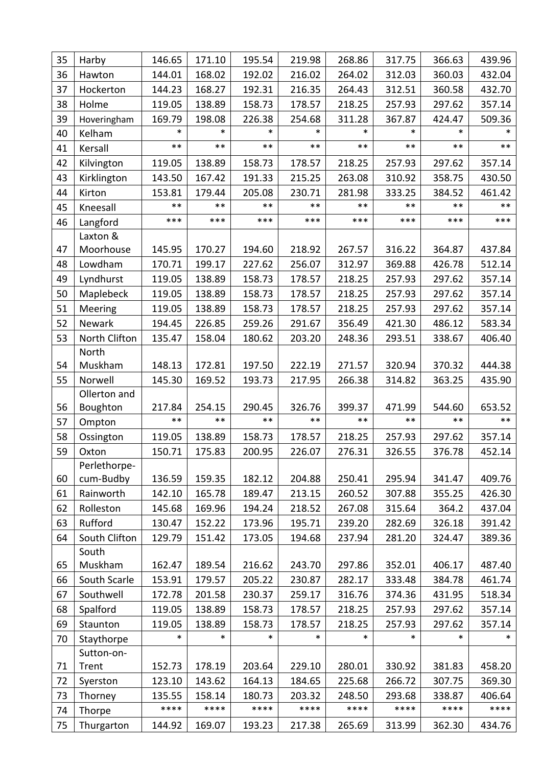| 35 | Harby                 | 146.65          | 171.10          | 195.54          | 219.98          | 268.86          | 317.75          | 366.63          | 439.96          |
|----|-----------------------|-----------------|-----------------|-----------------|-----------------|-----------------|-----------------|-----------------|-----------------|
| 36 | Hawton                | 144.01          | 168.02          | 192.02          | 216.02          | 264.02          | 312.03          | 360.03          | 432.04          |
| 37 | Hockerton             | 144.23          | 168.27          | 192.31          | 216.35          | 264.43          | 312.51          | 360.58          | 432.70          |
| 38 | Holme                 | 119.05          | 138.89          | 158.73          | 178.57          | 218.25          | 257.93          | 297.62          | 357.14          |
| 39 | Hoveringham           | 169.79          | 198.08          | 226.38          | 254.68          | 311.28          | 367.87          | 424.47          | 509.36          |
| 40 | Kelham                | $\ast$          | *               | $\ast$          | $\ast$          | *               | $\ast$          | $\ast$          | $\ast$          |
| 41 | Kersall               | $***$           | $***$           | $***$           | $***$           | $***$           | $***$           | $***$           | $***$           |
| 42 | Kilvington            | 119.05          | 138.89          | 158.73          | 178.57          | 218.25          | 257.93          | 297.62          | 357.14          |
| 43 | Kirklington           | 143.50          | 167.42          | 191.33          | 215.25          | 263.08          | 310.92          | 358.75          | 430.50          |
| 44 | Kirton                | 153.81          | 179.44          | 205.08          | 230.71          | 281.98          | 333.25          | 384.52          | 461.42          |
| 45 | Kneesall              | $***$           | $***$           | $***$           | $***$           | $***$           | $***$           | $***$           | $***$           |
| 46 | Langford              | ***             | ***             | ***             | ***             | ***             | ***             | ***             | ***             |
|    | Laxton &              |                 |                 |                 |                 |                 |                 |                 |                 |
| 47 | Moorhouse             | 145.95          | 170.27          | 194.60          | 218.92          | 267.57          | 316.22          | 364.87          | 437.84          |
| 48 | Lowdham               | 170.71          | 199.17          | 227.62          | 256.07          | 312.97          | 369.88          | 426.78          | 512.14          |
| 49 | Lyndhurst             | 119.05          | 138.89          | 158.73          | 178.57          | 218.25          | 257.93          | 297.62          | 357.14          |
| 50 | Maplebeck             | 119.05          | 138.89          | 158.73          | 178.57          | 218.25          | 257.93          | 297.62          | 357.14          |
| 51 | Meering               | 119.05          | 138.89          | 158.73          | 178.57          | 218.25          | 257.93          | 297.62          | 357.14          |
| 52 | Newark                | 194.45          | 226.85          | 259.26          | 291.67          | 356.49          | 421.30          | 486.12          | 583.34          |
| 53 | North Clifton         | 135.47          | 158.04          | 180.62          | 203.20          | 248.36          | 293.51          | 338.67          | 406.40          |
|    | North                 |                 |                 |                 |                 |                 |                 |                 |                 |
| 54 | Muskham               | 148.13          | 172.81          | 197.50          | 222.19          | 271.57          | 320.94          | 370.32          | 444.38          |
| 55 | Norwell               | 145.30          | 169.52          | 193.73          | 217.95          | 266.38          | 314.82          | 363.25          | 435.90          |
|    | Ollerton and          |                 |                 |                 |                 |                 |                 |                 |                 |
| 56 | Boughton              | 217.84<br>$***$ | 254.15<br>$***$ | 290.45<br>$***$ | 326.76<br>$***$ | 399.37<br>$***$ | 471.99<br>$***$ | 544.60<br>$***$ | 653.52<br>$***$ |
| 57 | Ompton                |                 |                 |                 |                 |                 |                 |                 |                 |
| 58 | Ossington             | 119.05          | 138.89          | 158.73          | 178.57          | 218.25          | 257.93          | 297.62          | 357.14          |
| 59 | Oxton<br>Perlethorpe- | 150.71          | 175.83          | 200.95          | 226.07          | 276.31          | 326.55          | 376.78          | 452.14          |
| 60 | cum-Budby             | 136.59          | 159.35          | 182.12          | 204.88          | 250.41          | 295.94          | 341.47          | 409.76          |
| 61 | Rainworth             | 142.10          | 165.78          | 189.47          | 213.15          | 260.52          | 307.88          | 355.25          | 426.30          |
| 62 | Rolleston             | 145.68          | 169.96          | 194.24          | 218.52          | 267.08          | 315.64          | 364.2           | 437.04          |
| 63 | Rufford               | 130.47          | 152.22          | 173.96          | 195.71          | 239.20          | 282.69          | 326.18          | 391.42          |
| 64 | South Clifton         | 129.79          | 151.42          | 173.05          | 194.68          | 237.94          | 281.20          | 324.47          | 389.36          |
|    | South                 |                 |                 |                 |                 |                 |                 |                 |                 |
| 65 | Muskham               | 162.47          | 189.54          | 216.62          | 243.70          | 297.86          | 352.01          | 406.17          | 487.40          |
| 66 | South Scarle          | 153.91          | 179.57          | 205.22          | 230.87          | 282.17          | 333.48          | 384.78          | 461.74          |
| 67 | Southwell             | 172.78          | 201.58          | 230.37          | 259.17          | 316.76          | 374.36          | 431.95          | 518.34          |
| 68 | Spalford              | 119.05          | 138.89          | 158.73          | 178.57          | 218.25          | 257.93          | 297.62          | 357.14          |
| 69 | Staunton              | 119.05          | 138.89          | 158.73          | 178.57          | 218.25          | 257.93          | 297.62          | 357.14          |
| 70 | Staythorpe            | $\ast$          | $\ast$          | $\ast$          | $\ast$          | $\ast$          | $\ast$          | $\ast$          | $\ast$          |
|    | Sutton-on-            |                 |                 |                 |                 |                 |                 |                 |                 |
| 71 | Trent                 | 152.73          | 178.19          | 203.64          | 229.10          | 280.01          | 330.92          | 381.83          | 458.20          |
| 72 | Syerston              | 123.10          | 143.62          | 164.13          | 184.65          | 225.68          | 266.72          | 307.75          | 369.30          |
| 73 | Thorney               | 135.55          | 158.14          | 180.73          | 203.32          | 248.50          | 293.68          | 338.87          | 406.64          |
| 74 | Thorpe                | ****            | ****            | ****            | ****            | ****            | ****            | ****            | $****$          |
| 75 | Thurgarton            | 144.92          | 169.07          | 193.23          | 217.38          | 265.69          | 313.99          | 362.30          | 434.76          |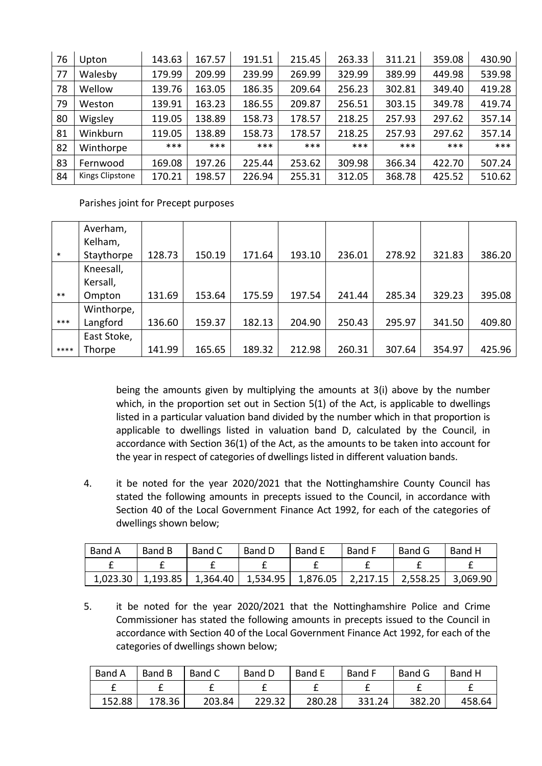| 76 | Upton           | 143.63 | 167.57 | 191.51 | 215.45 | 263.33 | 311.21 | 359.08 | 430.90 |
|----|-----------------|--------|--------|--------|--------|--------|--------|--------|--------|
| 77 | Walesby         | 179.99 | 209.99 | 239.99 | 269.99 | 329.99 | 389.99 | 449.98 | 539.98 |
| 78 | Wellow          | 139.76 | 163.05 | 186.35 | 209.64 | 256.23 | 302.81 | 349.40 | 419.28 |
| 79 | Weston          | 139.91 | 163.23 | 186.55 | 209.87 | 256.51 | 303.15 | 349.78 | 419.74 |
| 80 | Wigsley         | 119.05 | 138.89 | 158.73 | 178.57 | 218.25 | 257.93 | 297.62 | 357.14 |
| 81 | Winkburn        | 119.05 | 138.89 | 158.73 | 178.57 | 218.25 | 257.93 | 297.62 | 357.14 |
| 82 | Winthorpe       | $***$  | $***$  | ***    | ***    | ***    | $***$  | ***    | ***    |
| 83 | Fernwood        | 169.08 | 197.26 | 225.44 | 253.62 | 309.98 | 366.34 | 422.70 | 507.24 |
| 84 | Kings Clipstone | 170.21 | 198.57 | 226.94 | 255.31 | 312.05 | 368.78 | 425.52 | 510.62 |

Parishes joint for Precept purposes

|        | Averham,    |        |        |        |        |        |        |        |        |
|--------|-------------|--------|--------|--------|--------|--------|--------|--------|--------|
|        | Kelham,     |        |        |        |        |        |        |        |        |
| $\ast$ | Staythorpe  | 128.73 | 150.19 | 171.64 | 193.10 | 236.01 | 278.92 | 321.83 | 386.20 |
|        | Kneesall,   |        |        |        |        |        |        |        |        |
|        | Kersall,    |        |        |        |        |        |        |        |        |
| $***$  | Ompton      | 131.69 | 153.64 | 175.59 | 197.54 | 241.44 | 285.34 | 329.23 | 395.08 |
|        | Winthorpe,  |        |        |        |        |        |        |        |        |
| $***$  | Langford    | 136.60 | 159.37 | 182.13 | 204.90 | 250.43 | 295.97 | 341.50 | 409.80 |
|        | East Stoke, |        |        |        |        |        |        |        |        |
| ****   | Thorpe      | 141.99 | 165.65 | 189.32 | 212.98 | 260.31 | 307.64 | 354.97 | 425.96 |

being the amounts given by multiplying the amounts at 3(i) above by the number which, in the proportion set out in Section  $5(1)$  of the Act, is applicable to dwellings listed in a particular valuation band divided by the number which in that proportion is applicable to dwellings listed in valuation band D, calculated by the Council, in accordance with Section 36(1) of the Act, as the amounts to be taken into account for the year in respect of categories of dwellings listed in different valuation bands.

4. it be noted for the year 2020/2021 that the Nottinghamshire County Council has stated the following amounts in precepts issued to the Council, in accordance with Section 40 of the Local Government Finance Act 1992, for each of the categories of dwellings shown below;

| <b>Band A</b> | Band B   | Band C   | Band D   | <b>Band E</b> | Band F   | Band G   | Band H   |
|---------------|----------|----------|----------|---------------|----------|----------|----------|
|               |          |          |          |               |          |          |          |
| 1,023.30      | 1,193.85 | 1,364.40 | 1,534.95 | 1,876.05      | 2,217.15 | 2,558.25 | 3,069.90 |

5. it be noted for the year 2020/2021 that the Nottinghamshire Police and Crime Commissioner has stated the following amounts in precepts issued to the Council in accordance with Section 40 of the Local Government Finance Act 1992, for each of the categories of dwellings shown below;

| <b>Band A</b> | Band B | Band C | <b>Band D</b> | <b>Band E</b> | <b>Band F</b> | Band G | Band H |
|---------------|--------|--------|---------------|---------------|---------------|--------|--------|
|               |        |        |               |               |               |        |        |
| 152.88        | 178.36 | 203.84 | 229.32        | 280.28        | 331.24        | 382.20 | 458.64 |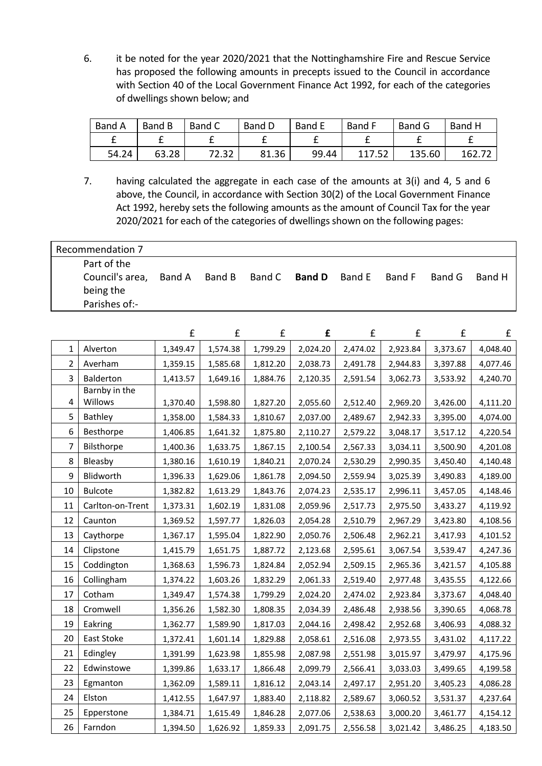6. it be noted for the year 2020/2021 that the Nottinghamshire Fire and Rescue Service has proposed the following amounts in precepts issued to the Council in accordance with Section 40 of the Local Government Finance Act 1992, for each of the categories of dwellings shown below; and

| Band A | Band B | Band C | Band D | Band E | <b>Band F</b> | <b>Band G</b> | Band H |
|--------|--------|--------|--------|--------|---------------|---------------|--------|
|        |        |        |        |        |               |               |        |
| 54.24  | 63.28  | 72.32  | 81.36  | 99.44  | 117.52        | 135.60        | 162.72 |

7. having calculated the aggregate in each case of the amounts at 3(i) and 4, 5 and 6 above, the Council, in accordance with Section 30(2) of the Local Government Finance Act 1992, hereby sets the following amounts as the amount of Council Tax for the year 2020/2021 for each of the categories of dwellings shown on the following pages:

| Recommendation 7                                                    |  |  |  |                                           |  |  |        |        |
|---------------------------------------------------------------------|--|--|--|-------------------------------------------|--|--|--------|--------|
| Part of the<br>Council's area, Band A<br>being the<br>Parishes of:- |  |  |  | Band B Band C <b>Band D</b> Band E Band F |  |  | Band G | Band H |

|                |                  | £        | £        | £        | £        | £        | £        | £        | £        |
|----------------|------------------|----------|----------|----------|----------|----------|----------|----------|----------|
| 1              | Alverton         | 1,349.47 | 1,574.38 | 1,799.29 | 2,024.20 | 2,474.02 | 2,923.84 | 3,373.67 | 4,048.40 |
| $\overline{2}$ | Averham          | 1,359.15 | 1,585.68 | 1,812.20 | 2,038.73 | 2,491.78 | 2,944.83 | 3,397.88 | 4,077.46 |
| $\overline{3}$ | Balderton        | 1,413.57 | 1,649.16 | 1,884.76 | 2,120.35 | 2,591.54 | 3,062.73 | 3,533.92 | 4,240.70 |
|                | Barnby in the    |          |          |          |          |          |          |          |          |
| 4              | Willows          | 1,370.40 | 1,598.80 | 1,827.20 | 2,055.60 | 2,512.40 | 2,969.20 | 3,426.00 | 4,111.20 |
| 5              | Bathley          | 1,358.00 | 1,584.33 | 1,810.67 | 2,037.00 | 2,489.67 | 2,942.33 | 3,395.00 | 4,074.00 |
| 6              | Besthorpe        | 1,406.85 | 1,641.32 | 1,875.80 | 2,110.27 | 2,579.22 | 3,048.17 | 3,517.12 | 4,220.54 |
| 7              | Bilsthorpe       | 1,400.36 | 1,633.75 | 1,867.15 | 2,100.54 | 2,567.33 | 3,034.11 | 3,500.90 | 4,201.08 |
| 8              | Bleasby          | 1,380.16 | 1,610.19 | 1,840.21 | 2,070.24 | 2,530.29 | 2,990.35 | 3,450.40 | 4,140.48 |
| 9              | Blidworth        | 1,396.33 | 1,629.06 | 1,861.78 | 2,094.50 | 2,559.94 | 3,025.39 | 3,490.83 | 4,189.00 |
| 10             | <b>Bulcote</b>   | 1,382.82 | 1,613.29 | 1,843.76 | 2,074.23 | 2,535.17 | 2,996.11 | 3,457.05 | 4,148.46 |
| 11             | Carlton-on-Trent | 1,373.31 | 1,602.19 | 1,831.08 | 2,059.96 | 2,517.73 | 2,975.50 | 3,433.27 | 4,119.92 |
| 12             | Caunton          | 1,369.52 | 1,597.77 | 1,826.03 | 2,054.28 | 2,510.79 | 2,967.29 | 3,423.80 | 4,108.56 |
| 13             | Caythorpe        | 1,367.17 | 1,595.04 | 1,822.90 | 2,050.76 | 2,506.48 | 2,962.21 | 3,417.93 | 4,101.52 |
| 14             | Clipstone        | 1,415.79 | 1,651.75 | 1,887.72 | 2,123.68 | 2,595.61 | 3,067.54 | 3,539.47 | 4,247.36 |
| 15             | Coddington       | 1,368.63 | 1,596.73 | 1,824.84 | 2,052.94 | 2,509.15 | 2,965.36 | 3,421.57 | 4,105.88 |
| 16             | Collingham       | 1,374.22 | 1,603.26 | 1,832.29 | 2,061.33 | 2,519.40 | 2,977.48 | 3,435.55 | 4,122.66 |
| 17             | Cotham           | 1,349.47 | 1,574.38 | 1,799.29 | 2,024.20 | 2,474.02 | 2,923.84 | 3,373.67 | 4,048.40 |
| 18             | Cromwell         | 1,356.26 | 1,582.30 | 1,808.35 | 2,034.39 | 2,486.48 | 2,938.56 | 3,390.65 | 4,068.78 |
| 19             | Eakring          | 1,362.77 | 1,589.90 | 1,817.03 | 2,044.16 | 2,498.42 | 2,952.68 | 3,406.93 | 4,088.32 |
| 20             | East Stoke       | 1,372.41 | 1,601.14 | 1,829.88 | 2,058.61 | 2,516.08 | 2,973.55 | 3,431.02 | 4,117.22 |
| 21             | Edingley         | 1,391.99 | 1,623.98 | 1,855.98 | 2,087.98 | 2,551.98 | 3,015.97 | 3,479.97 | 4,175.96 |
| 22             | Edwinstowe       | 1,399.86 | 1,633.17 | 1,866.48 | 2,099.79 | 2,566.41 | 3,033.03 | 3,499.65 | 4,199.58 |
| 23             | Egmanton         | 1,362.09 | 1,589.11 | 1,816.12 | 2,043.14 | 2,497.17 | 2,951.20 | 3,405.23 | 4,086.28 |
| 24             | Elston           | 1,412.55 | 1,647.97 | 1,883.40 | 2,118.82 | 2,589.67 | 3,060.52 | 3,531.37 | 4,237.64 |
| 25             | Epperstone       | 1,384.71 | 1,615.49 | 1,846.28 | 2,077.06 | 2,538.63 | 3,000.20 | 3,461.77 | 4,154.12 |
| 26             | Farndon          | 1,394.50 | 1,626.92 | 1,859.33 | 2,091.75 | 2,556.58 | 3,021.42 | 3,486.25 | 4,183.50 |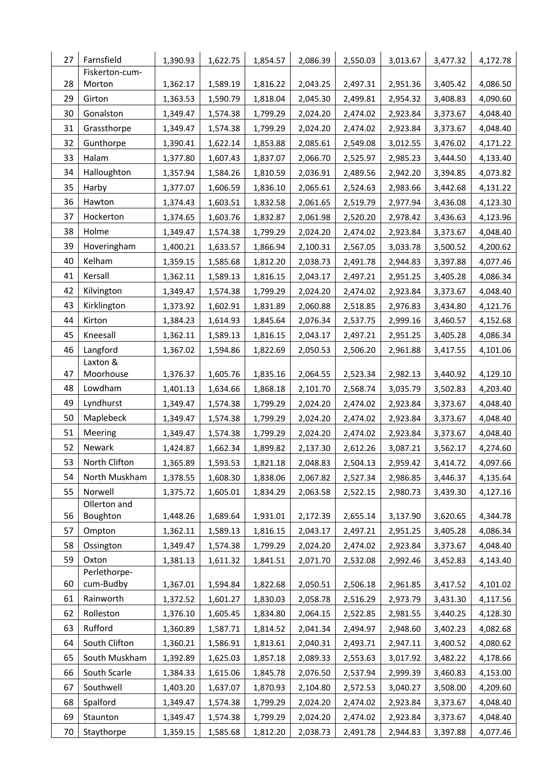| 27       | Farnsfield                | 1,390.93             | 1,622.75             | 1,854.57             | 2,086.39             | 2,550.03             | 3,013.67             | 3,477.32             | 4,172.78             |
|----------|---------------------------|----------------------|----------------------|----------------------|----------------------|----------------------|----------------------|----------------------|----------------------|
|          | Fiskerton-cum-            |                      |                      |                      |                      |                      |                      |                      |                      |
| 28<br>29 | Morton<br>Girton          | 1,362.17<br>1,363.53 | 1,589.19<br>1,590.79 | 1,816.22<br>1,818.04 | 2,043.25<br>2,045.30 | 2,497.31<br>2,499.81 | 2,951.36<br>2,954.32 | 3,405.42<br>3,408.83 | 4,086.50<br>4,090.60 |
|          |                           |                      |                      |                      |                      |                      |                      |                      |                      |
| 30       | Gonalston                 | 1,349.47             | 1,574.38             | 1,799.29             | 2,024.20             | 2,474.02             | 2,923.84             | 3,373.67             | 4,048.40             |
| 31       | Grassthorpe               | 1,349.47             | 1,574.38             | 1,799.29             | 2,024.20             | 2,474.02             | 2,923.84             | 3,373.67             | 4,048.40             |
| 32       | Gunthorpe                 | 1,390.41             | 1,622.14             | 1,853.88             | 2,085.61             | 2,549.08             | 3,012.55             | 3,476.02             | 4,171.22             |
| 33       | Halam                     | 1,377.80             | 1,607.43             | 1,837.07             | 2,066.70             | 2,525.97             | 2,985.23             | 3,444.50             | 4,133.40             |
| 34       | Halloughton               | 1,357.94             | 1,584.26             | 1,810.59             | 2,036.91             | 2,489.56             | 2,942.20             | 3,394.85             | 4,073.82             |
| 35       | Harby                     | 1,377.07             | 1,606.59             | 1,836.10             | 2,065.61             | 2,524.63             | 2,983.66             | 3,442.68             | 4,131.22             |
| 36       | Hawton                    | 1,374.43             | 1,603.51             | 1,832.58             | 2,061.65             | 2,519.79             | 2,977.94             | 3,436.08             | 4,123.30             |
| 37       | Hockerton                 | 1,374.65             | 1,603.76             | 1,832.87             | 2,061.98             | 2,520.20             | 2,978.42             | 3,436.63             | 4,123.96             |
| 38       | Holme                     | 1,349.47             | 1,574.38             | 1,799.29             | 2,024.20             | 2,474.02             | 2,923.84             | 3,373.67             | 4,048.40             |
| 39       | Hoveringham               | 1,400.21             | 1,633.57             | 1,866.94             | 2,100.31             | 2,567.05             | 3,033.78             | 3,500.52             | 4,200.62             |
| 40       | Kelham                    | 1,359.15             | 1,585.68             | 1,812.20             | 2,038.73             | 2,491.78             | 2,944.83             | 3,397.88             | 4,077.46             |
| 41       | Kersall                   | 1,362.11             | 1,589.13             | 1,816.15             | 2,043.17             | 2,497.21             | 2,951.25             | 3,405.28             | 4,086.34             |
| 42       | Kilvington                | 1,349.47             | 1,574.38             | 1,799.29             | 2,024.20             | 2,474.02             | 2,923.84             | 3,373.67             | 4,048.40             |
| 43       | Kirklington               | 1,373.92             | 1,602.91             | 1,831.89             | 2,060.88             | 2,518.85             | 2,976.83             | 3,434.80             | 4,121.76             |
| 44       | Kirton                    | 1,384.23             | 1,614.93             | 1,845.64             | 2,076.34             | 2,537.75             | 2,999.16             | 3,460.57             | 4,152.68             |
| 45       | Kneesall                  | 1,362.11             | 1,589.13             | 1,816.15             | 2,043.17             | 2,497.21             | 2,951.25             | 3,405.28             | 4,086.34             |
| 46       | Langford                  | 1,367.02             | 1,594.86             | 1,822.69             | 2,050.53             | 2,506.20             | 2,961.88             | 3,417.55             | 4,101.06             |
|          | Laxton &                  |                      |                      |                      |                      |                      |                      |                      |                      |
| 47       | Moorhouse                 | 1,376.37             | 1,605.76             | 1,835.16             | 2,064.55             | 2,523.34             | 2,982.13             | 3,440.92             | 4,129.10             |
| 48       | Lowdham                   | 1,401.13             | 1,634.66             | 1,868.18             | 2,101.70             | 2,568.74             | 3,035.79             | 3,502.83             | 4,203.40             |
| 49       | Lyndhurst                 | 1,349.47             | 1,574.38             | 1,799.29             | 2,024.20             | 2,474.02             | 2,923.84             | 3,373.67             | 4,048.40             |
| 50       | Maplebeck                 | 1,349.47             | 1,574.38             | 1,799.29             | 2,024.20             | 2,474.02             | 2,923.84             | 3,373.67             | 4,048.40             |
| 51       | Meering                   | 1,349.47             | 1,574.38             | 1,799.29             | 2,024.20             | 2,474.02             | 2,923.84             | 3,373.67             | 4,048.40             |
| 52       | Newark                    | 1,424.87             | 1,662.34             | 1,899.82             | 2,137.30             | 2,612.26             | 3,087.21             | 3,562.17             | 4,274.60             |
| 53       | North Clifton             | 1,365.89             | 1,593.53             | 1,821.18             | 2,048.83             | 2,504.13             | 2,959.42             | 3,414.72             | 4,097.66             |
| 54       | North Muskham             | 1,378.55             | 1,608.30             | 1,838.06             | 2,067.82             | 2,527.34             | 2,986.85             | 3,446.37             | 4,135.64             |
| 55       | Norwell                   | 1,375.72             | 1,605.01             | 1,834.29             | 2,063.58             | 2,522.15             | 2,980.73             | 3,439.30             | 4,127.16             |
|          | Ollerton and              |                      |                      |                      |                      |                      |                      |                      |                      |
| 56       | Boughton                  | 1,448.26             | 1,689.64             | 1,931.01             | 2,172.39             | 2,655.14             | 3,137.90             | 3,620.65             | 4,344.78             |
| 57       | Ompton                    | 1,362.11             | 1,589.13             | 1,816.15             | 2,043.17             | 2,497.21             | 2,951.25             | 3,405.28             | 4,086.34             |
| 58       | Ossington                 | 1,349.47             | 1,574.38             | 1,799.29             | 2,024.20             | 2,474.02             | 2,923.84             | 3,373.67             | 4,048.40             |
| 59       | Oxton                     | 1,381.13             | 1,611.32             | 1,841.51             | 2,071.70             | 2,532.08             | 2,992.46             | 3,452.83             | 4,143.40             |
| 60       | Perlethorpe-<br>cum-Budby |                      |                      |                      |                      |                      |                      |                      |                      |
|          |                           | 1,367.01             | 1,594.84             | 1,822.68             | 2,050.51             | 2,506.18             | 2,961.85             | 3,417.52             | 4,101.02             |
| 61       | Rainworth                 | 1,372.52             | 1,601.27             | 1,830.03             | 2,058.78             | 2,516.29             | 2,973.79             | 3,431.30             | 4,117.56             |
| 62       | Rolleston                 | 1,376.10             | 1,605.45             | 1,834.80             | 2,064.15             | 2,522.85             | 2,981.55             | 3,440.25             | 4,128.30             |
| 63       | Rufford                   | 1,360.89             | 1,587.71             | 1,814.52             | 2,041.34             | 2,494.97             | 2,948.60             | 3,402.23             | 4,082.68             |
| 64       | South Clifton             | 1,360.21             | 1,586.91             | 1,813.61             | 2,040.31             | 2,493.71             | 2,947.11             | 3,400.52             | 4,080.62             |
| 65       | South Muskham             | 1,392.89             | 1,625.03             | 1,857.18             | 2,089.33             | 2,553.63             | 3,017.92             | 3,482.22             | 4,178.66             |
| 66       | South Scarle              | 1,384.33             | 1,615.06             | 1,845.78             | 2,076.50             | 2,537.94             | 2,999.39             | 3,460.83             | 4,153.00             |
| 67       | Southwell                 | 1,403.20             | 1,637.07             | 1,870.93             | 2,104.80             | 2,572.53             | 3,040.27             | 3,508.00             | 4,209.60             |
| 68       | Spalford                  | 1,349.47             | 1,574.38             | 1,799.29             | 2,024.20             | 2,474.02             | 2,923.84             | 3,373.67             | 4,048.40             |
| 69       | Staunton                  | 1,349.47             | 1,574.38             | 1,799.29             | 2,024.20             | 2,474.02             | 2,923.84             | 3,373.67             | 4,048.40             |
| 70       | Staythorpe                | 1,359.15             | 1,585.68             | 1,812.20             | 2,038.73             | 2,491.78             | 2,944.83             | 3,397.88             | 4,077.46             |